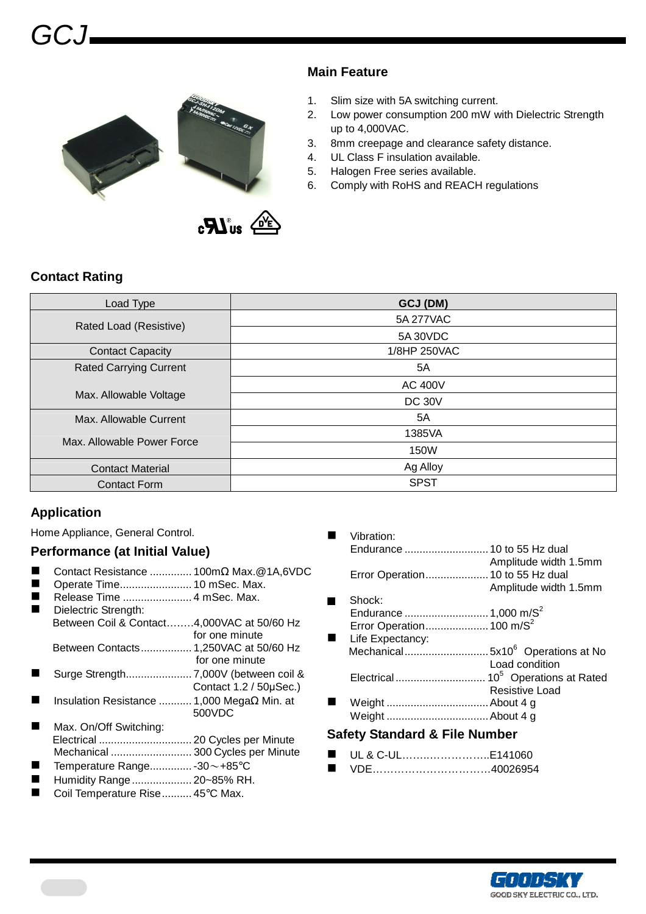# GCJ



#### **Main Feature**

- 1. Slim size with 5A switching current.
- 2. Low power consumption 200 mW with Dielectric Strength up to 4,000VAC.
- 3. 8mm creepage and clearance safety distance.
- 4. UL Class F insulation available.
- 5. Halogen Free series available.
- 6. Comply with RoHS and REACH regulations

### **Contact Rating**

| Load Type                     | GCJ (DM)       |
|-------------------------------|----------------|
| Rated Load (Resistive)        | 5A 277VAC      |
|                               | 5A 30VDC       |
| <b>Contact Capacity</b>       | 1/8HP 250VAC   |
| <b>Rated Carrying Current</b> | 5A             |
|                               | <b>AC 400V</b> |
| Max. Allowable Voltage        | <b>DC 30V</b>  |
| Max. Allowable Current        | 5A             |
| Max. Allowable Power Force    | 1385VA         |
|                               | 150W           |
| <b>Contact Material</b>       | Ag Alloy       |
| <b>Contact Form</b>           | <b>SPST</b>    |

#### **Application**

Home Appliance, General Control.

#### **Performance (at Initial Value)**

- Contact Resistance .............. 100mΩ Max.@1A,6VDC
- Operate Time........................... 10 mSec. Max. Release Time ....................... 4 mSec. Max.
- Dielectric Strength:
- Between Coil & Contact….….4,000VAC at 50/60 Hz for one minute
- Between Contacts................. 1,250VAC at 50/60 Hz for one minute
- Surge Strength...................... 7,000V (between coil & Contact 1.2 / 50µSec.)
- Insulation Resistance ........... 1,000 MegaΩ Min. at 500VDC
- Max. On/Off Switching: Electrical ............................... 20 Cycles per Minute Mechanical ........................... 300 Cycles per Minute
- Temperature Range.............. -30~+85°<sup>C</sup>
- Humidity Range.................... 20~85% RH.
- Coil Temperature Rise.......... 45°C Max.

 Vibration: Endurance ............................10 to 55 Hz dual Amplitude width 1.5mm Error Operation.....................10 to 55 Hz dual Amplitude width 1.5mm Shock: Endurance ............................1,000 m/S<sup>2</sup> Error Operation.....................100 m/S<sup>2</sup> Life Expectancy: Mechanical................................5x10<sup>6</sup> Operations at No **Load condition** Electrical .............................. 10<sup>5</sup>Operations at Rated Resistive Load Weight ..................................About 4 g Weight ..................................About 4 g

#### **Safety Standard & File Number**

- UL & C-UL……..……………..E141060
- VDE……………………………40026954